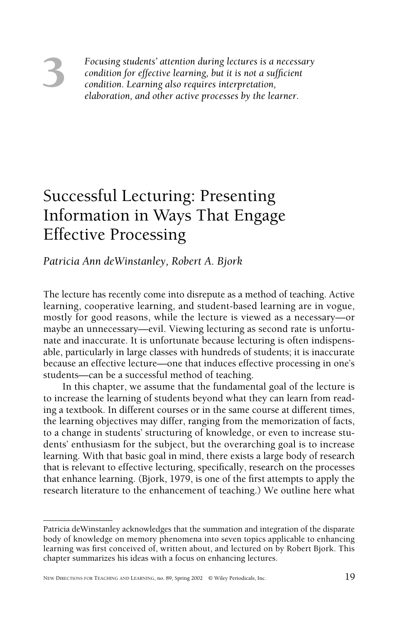*Focusing students' attention during lectures is a necessary condition for effective learning, but it is not a sufficient condition. Learning also requires interpretation, elaboration, and other active processes by the learner.*

# Successful Lecturing: Presenting Information in Ways That Engage Effective Processing

*Patricia Ann deWinstanley, Robert A. Bjork*

The lecture has recently come into disrepute as a method of teaching. Active learning, cooperative learning, and student-based learning are in vogue, mostly for good reasons, while the lecture is viewed as a necessary—or maybe an unnecessary—evil. Viewing lecturing as second rate is unfortunate and inaccurate. It is unfortunate because lecturing is often indispensable, particularly in large classes with hundreds of students; it is inaccurate because an effective lecture—one that induces effective processing in one's students—can be a successful method of teaching.

In this chapter, we assume that the fundamental goal of the lecture is to increase the learning of students beyond what they can learn from reading a textbook. In different courses or in the same course at different times, the learning objectives may differ, ranging from the memorization of facts, to a change in students' structuring of knowledge, or even to increase students' enthusiasm for the subject, but the overarching goal is to increase learning. With that basic goal in mind, there exists a large body of research that is relevant to effective lecturing, specifically, research on the processes that enhance learning. (Bjork, 1979, is one of the first attempts to apply the research literature to the enhancement of teaching.) We outline here what

Patricia deWinstanley acknowledges that the summation and integration of the disparate body of knowledge on memory phenomena into seven topics applicable to enhancing learning was first conceived of, written about, and lectured on by Robert Bjork. This chapter summarizes his ideas with a focus on enhancing lectures.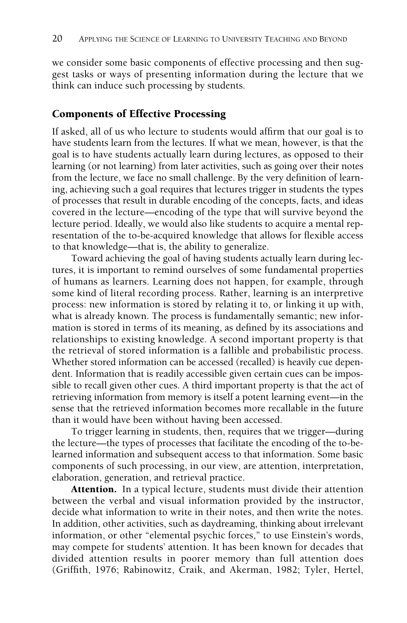we consider some basic components of effective processing and then suggest tasks or ways of presenting information during the lecture that we think can induce such processing by students.

## Components of Effective Processing

If asked, all of us who lecture to students would affirm that our goal is to have students learn from the lectures. If what we mean, however, is that the goal is to have students actually learn during lectures, as opposed to their learning (or not learning) from later activities, such as going over their notes from the lecture, we face no small challenge. By the very definition of learning, achieving such a goal requires that lectures trigger in students the types of processes that result in durable encoding of the concepts, facts, and ideas covered in the lecture—encoding of the type that will survive beyond the lecture period. Ideally, we would also like students to acquire a mental representation of the to-be-acquired knowledge that allows for flexible access to that knowledge—that is, the ability to generalize.

Toward achieving the goal of having students actually learn during lectures, it is important to remind ourselves of some fundamental properties of humans as learners. Learning does not happen, for example, through some kind of literal recording process. Rather, learning is an interpretive process: new information is stored by relating it to, or linking it up with, what is already known. The process is fundamentally semantic; new information is stored in terms of its meaning, as defined by its associations and relationships to existing knowledge. A second important property is that the retrieval of stored information is a fallible and probabilistic process. Whether stored information can be accessed (recalled) is heavily cue dependent. Information that is readily accessible given certain cues can be impossible to recall given other cues. A third important property is that the act of retrieving information from memory is itself a potent learning event—in the sense that the retrieved information becomes more recallable in the future than it would have been without having been accessed.

To trigger learning in students, then, requires that we trigger—during the lecture—the types of processes that facilitate the encoding of the to-belearned information and subsequent access to that information. Some basic components of such processing, in our view, are attention, interpretation, elaboration, generation, and retrieval practice.

Attention. In a typical lecture, students must divide their attention between the verbal and visual information provided by the instructor, decide what information to write in their notes, and then write the notes. In addition, other activities, such as daydreaming, thinking about irrelevant information, or other "elemental psychic forces," to use Einstein's words, may compete for students' attention. It has been known for decades that divided attention results in poorer memory than full attention does (Griffith, 1976; Rabinowitz, Craik, and Akerman, 1982; Tyler, Hertel,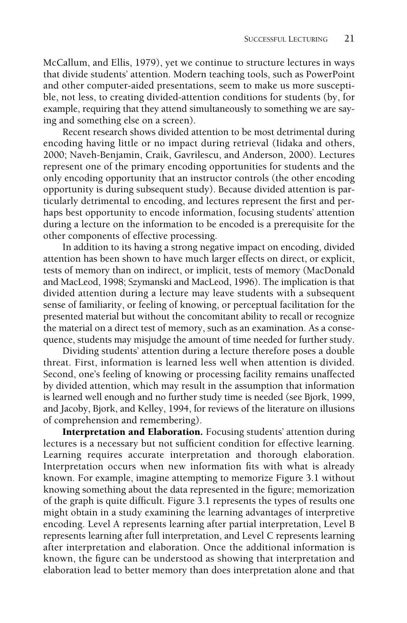McCallum, and Ellis, 1979), yet we continue to structure lectures in ways that divide students' attention. Modern teaching tools, such as PowerPoint and other computer-aided presentations, seem to make us more susceptible, not less, to creating divided-attention conditions for students (by, for example, requiring that they attend simultaneously to something we are saying and something else on a screen).

Recent research shows divided attention to be most detrimental during encoding having little or no impact during retrieval (Iidaka and others, 2000; Naveh-Benjamin, Craik, Gavrilescu, and Anderson, 2000). Lectures represent one of the primary encoding opportunities for students and the only encoding opportunity that an instructor controls (the other encoding opportunity is during subsequent study). Because divided attention is particularly detrimental to encoding, and lectures represent the first and perhaps best opportunity to encode information, focusing students' attention during a lecture on the information to be encoded is a prerequisite for the other components of effective processing.

In addition to its having a strong negative impact on encoding, divided attention has been shown to have much larger effects on direct, or explicit, tests of memory than on indirect, or implicit, tests of memory (MacDonald and MacLeod, 1998; Szymanski and MacLeod, 1996). The implication is that divided attention during a lecture may leave students with a subsequent sense of familiarity, or feeling of knowing, or perceptual facilitation for the presented material but without the concomitant ability to recall or recognize the material on a direct test of memory, such as an examination. As a consequence, students may misjudge the amount of time needed for further study.

Dividing students' attention during a lecture therefore poses a double threat. First, information is learned less well when attention is divided. Second, one's feeling of knowing or processing facility remains unaffected by divided attention, which may result in the assumption that information is learned well enough and no further study time is needed (see Bjork, 1999, and Jacoby, Bjork, and Kelley, 1994, for reviews of the literature on illusions of comprehension and remembering).

Interpretation and Elaboration. Focusing students' attention during lectures is a necessary but not sufficient condition for effective learning. Learning requires accurate interpretation and thorough elaboration. Interpretation occurs when new information fits with what is already known. For example, imagine attempting to memorize Figure 3.1 without knowing something about the data represented in the figure; memorization of the graph is quite difficult. Figure 3.1 represents the types of results one might obtain in a study examining the learning advantages of interpretive encoding. Level A represents learning after partial interpretation, Level B represents learning after full interpretation, and Level C represents learning after interpretation and elaboration. Once the additional information is known, the figure can be understood as showing that interpretation and elaboration lead to better memory than does interpretation alone and that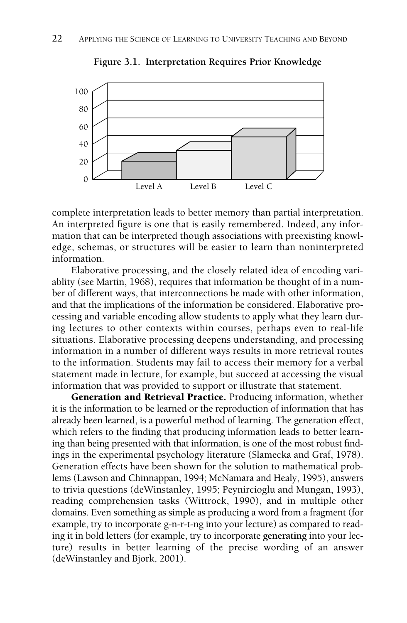

**Figure 3.1. Interpretation Requires Prior Knowledge**

complete interpretation leads to better memory than partial interpretation. An interpreted figure is one that is easily remembered. Indeed, any information that can be interpreted though associations with preexisting knowledge, schemas, or structures will be easier to learn than noninterpreted information.

Elaborative processing, and the closely related idea of encoding variablity (see Martin, 1968), requires that information be thought of in a number of different ways, that interconnections be made with other information, and that the implications of the information be considered. Elaborative processing and variable encoding allow students to apply what they learn during lectures to other contexts within courses, perhaps even to real-life situations. Elaborative processing deepens understanding, and processing information in a number of different ways results in more retrieval routes to the information. Students may fail to access their memory for a verbal statement made in lecture, for example, but succeed at accessing the visual information that was provided to support or illustrate that statement.

Generation and Retrieval Practice. Producing information, whether it is the information to be learned or the reproduction of information that has already been learned, is a powerful method of learning. The generation effect, which refers to the finding that producing information leads to better learning than being presented with that information, is one of the most robust findings in the experimental psychology literature (Slamecka and Graf, 1978). Generation effects have been shown for the solution to mathematical problems (Lawson and Chinnappan, 1994; McNamara and Healy, 1995), answers to trivia questions (deWinstanley, 1995; Peynircioglu and Mungan, 1993), reading comprehension tasks (Wittrock, 1990), and in multiple other domains. Even something as simple as producing a word from a fragment (for example, try to incorporate g-n-r-t-ng into your lecture) as compared to reading it in bold letters (for example, try to incorporate **generating** into your lecture) results in better learning of the precise wording of an answer (deWinstanley and Bjork, 2001).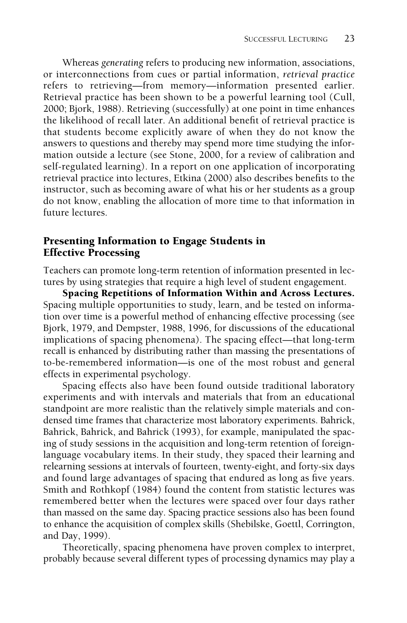Whereas *generating* refers to producing new information, associations, or interconnections from cues or partial information, *retrieval practice* refers to retrieving—from memory—information presented earlier. Retrieval practice has been shown to be a powerful learning tool (Cull, 2000; Bjork, 1988). Retrieving (successfully) at one point in time enhances the likelihood of recall later. An additional benefit of retrieval practice is that students become explicitly aware of when they do not know the answers to questions and thereby may spend more time studying the information outside a lecture (see Stone, 2000, for a review of calibration and self-regulated learning). In a report on one application of incorporating retrieval practice into lectures, Etkina (2000) also describes benefits to the instructor, such as becoming aware of what his or her students as a group do not know, enabling the allocation of more time to that information in future lectures.

# Presenting Information to Engage Students in Effective Processing

Teachers can promote long-term retention of information presented in lectures by using strategies that require a high level of student engagement.

Spacing Repetitions of Information Within and Across Lectures. Spacing multiple opportunities to study, learn, and be tested on information over time is a powerful method of enhancing effective processing (see Bjork, 1979, and Dempster, 1988, 1996, for discussions of the educational implications of spacing phenomena). The spacing effect—that long-term recall is enhanced by distributing rather than massing the presentations of to-be-remembered information—is one of the most robust and general effects in experimental psychology.

Spacing effects also have been found outside traditional laboratory experiments and with intervals and materials that from an educational standpoint are more realistic than the relatively simple materials and condensed time frames that characterize most laboratory experiments. Bahrick, Bahrick, Bahrick, and Bahrick (1993), for example, manipulated the spacing of study sessions in the acquisition and long-term retention of foreignlanguage vocabulary items. In their study, they spaced their learning and relearning sessions at intervals of fourteen, twenty-eight, and forty-six days and found large advantages of spacing that endured as long as five years. Smith and Rothkopf (1984) found the content from statistic lectures was remembered better when the lectures were spaced over four days rather than massed on the same day. Spacing practice sessions also has been found to enhance the acquisition of complex skills (Shebilske, Goettl, Corrington, and Day, 1999).

Theoretically, spacing phenomena have proven complex to interpret, probably because several different types of processing dynamics may play a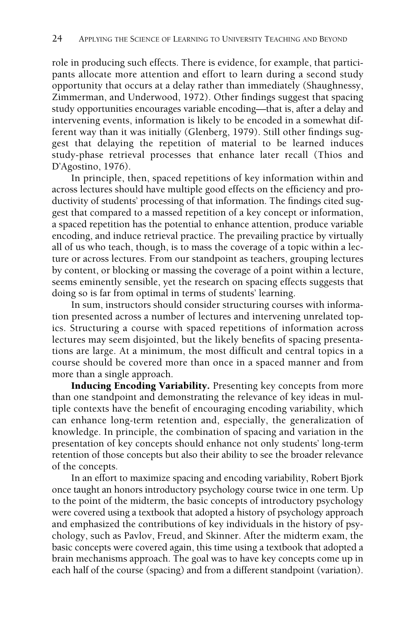role in producing such effects. There is evidence, for example, that participants allocate more attention and effort to learn during a second study opportunity that occurs at a delay rather than immediately (Shaughnessy, Zimmerman, and Underwood, 1972). Other findings suggest that spacing study opportunities encourages variable encoding—that is, after a delay and intervening events, information is likely to be encoded in a somewhat different way than it was initially (Glenberg, 1979). Still other findings suggest that delaying the repetition of material to be learned induces study-phase retrieval processes that enhance later recall (Thios and D'Agostino, 1976).

In principle, then, spaced repetitions of key information within and across lectures should have multiple good effects on the efficiency and productivity of students' processing of that information. The findings cited suggest that compared to a massed repetition of a key concept or information, a spaced repetition has the potential to enhance attention, produce variable encoding, and induce retrieval practice. The prevailing practice by virtually all of us who teach, though, is to mass the coverage of a topic within a lecture or across lectures. From our standpoint as teachers, grouping lectures by content, or blocking or massing the coverage of a point within a lecture, seems eminently sensible, yet the research on spacing effects suggests that doing so is far from optimal in terms of students' learning.

In sum, instructors should consider structuring courses with information presented across a number of lectures and intervening unrelated topics. Structuring a course with spaced repetitions of information across lectures may seem disjointed, but the likely benefits of spacing presentations are large. At a minimum, the most difficult and central topics in a course should be covered more than once in a spaced manner and from more than a single approach.

Inducing Encoding Variability. Presenting key concepts from more than one standpoint and demonstrating the relevance of key ideas in multiple contexts have the benefit of encouraging encoding variability, which can enhance long-term retention and, especially, the generalization of knowledge. In principle, the combination of spacing and variation in the presentation of key concepts should enhance not only students' long-term retention of those concepts but also their ability to see the broader relevance of the concepts.

In an effort to maximize spacing and encoding variability, Robert Bjork once taught an honors introductory psychology course twice in one term. Up to the point of the midterm, the basic concepts of introductory psychology were covered using a textbook that adopted a history of psychology approach and emphasized the contributions of key individuals in the history of psychology, such as Pavlov, Freud, and Skinner. After the midterm exam, the basic concepts were covered again, this time using a textbook that adopted a brain mechanisms approach. The goal was to have key concepts come up in each half of the course (spacing) and from a different standpoint (variation).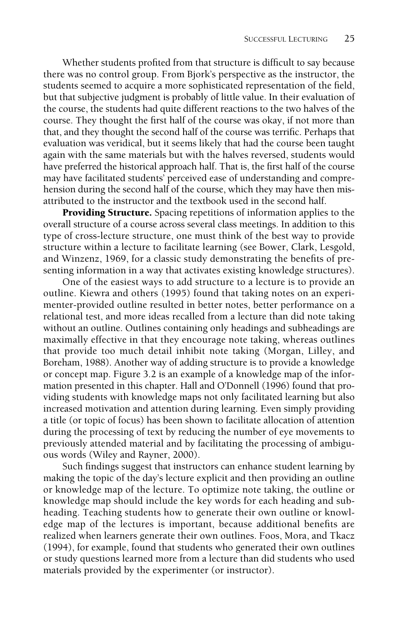Whether students profited from that structure is difficult to say because there was no control group. From Bjork's perspective as the instructor, the students seemed to acquire a more sophisticated representation of the field, but that subjective judgment is probably of little value. In their evaluation of the course, the students had quite different reactions to the two halves of the course. They thought the first half of the course was okay, if not more than that, and they thought the second half of the course was terrific. Perhaps that evaluation was veridical, but it seems likely that had the course been taught again with the same materials but with the halves reversed, students would have preferred the historical approach half. That is, the first half of the course may have facilitated students' perceived ease of understanding and comprehension during the second half of the course, which they may have then misattributed to the instructor and the textbook used in the second half.

**Providing Structure.** Spacing repetitions of information applies to the overall structure of a course across several class meetings. In addition to this type of cross-lecture structure, one must think of the best way to provide structure within a lecture to facilitate learning (see Bower, Clark, Lesgold, and Winzenz, 1969, for a classic study demonstrating the benefits of presenting information in a way that activates existing knowledge structures).

One of the easiest ways to add structure to a lecture is to provide an outline. Kiewra and others (1995) found that taking notes on an experimenter-provided outline resulted in better notes, better performance on a relational test, and more ideas recalled from a lecture than did note taking without an outline. Outlines containing only headings and subheadings are maximally effective in that they encourage note taking, whereas outlines that provide too much detail inhibit note taking (Morgan, Lilley, and Boreham, 1988). Another way of adding structure is to provide a knowledge or concept map. Figure 3.2 is an example of a knowledge map of the information presented in this chapter. Hall and O'Donnell (1996) found that providing students with knowledge maps not only facilitated learning but also increased motivation and attention during learning. Even simply providing a title (or topic of focus) has been shown to facilitate allocation of attention during the processing of text by reducing the number of eye movements to previously attended material and by facilitating the processing of ambiguous words (Wiley and Rayner, 2000).

Such findings suggest that instructors can enhance student learning by making the topic of the day's lecture explicit and then providing an outline or knowledge map of the lecture. To optimize note taking, the outline or knowledge map should include the key words for each heading and subheading. Teaching students how to generate their own outline or knowledge map of the lectures is important, because additional benefits are realized when learners generate their own outlines. Foos, Mora, and Tkacz (1994), for example, found that students who generated their own outlines or study questions learned more from a lecture than did students who used materials provided by the experimenter (or instructor).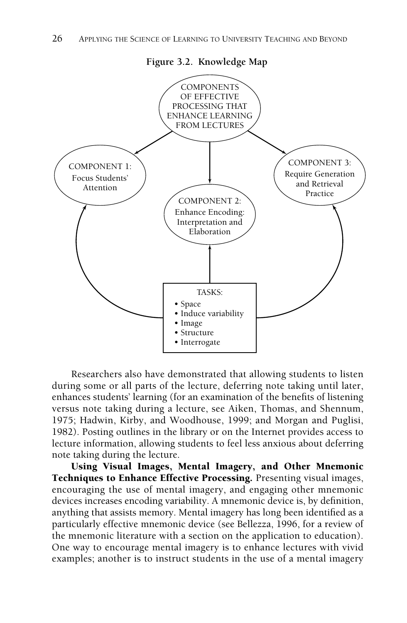



Researchers also have demonstrated that allowing students to listen during some or all parts of the lecture, deferring note taking until later, enhances students' learning (for an examination of the benefits of listening versus note taking during a lecture, see Aiken, Thomas, and Shennum, 1975; Hadwin, Kirby, and Woodhouse, 1999; and Morgan and Puglisi, 1982). Posting outlines in the library or on the Internet provides access to lecture information, allowing students to feel less anxious about deferring note taking during the lecture.

Using Visual Images, Mental Imagery, and Other Mnemonic Techniques to Enhance Effective Processing. Presenting visual images, encouraging the use of mental imagery, and engaging other mnemonic devices increases encoding variability. A mnemonic device is, by definition, anything that assists memory. Mental imagery has long been identified as a particularly effective mnemonic device (see Bellezza, 1996, for a review of the mnemonic literature with a section on the application to education). One way to encourage mental imagery is to enhance lectures with vivid examples; another is to instruct students in the use of a mental imagery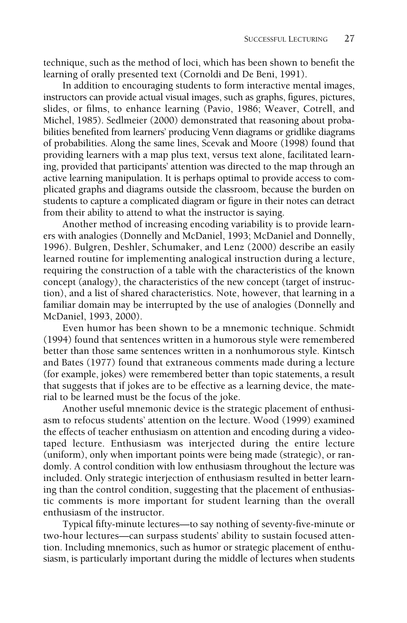technique, such as the method of loci, which has been shown to benefit the learning of orally presented text (Cornoldi and De Beni, 1991).

In addition to encouraging students to form interactive mental images, instructors can provide actual visual images, such as graphs, figures, pictures, slides, or films, to enhance learning (Pavio, 1986; Weaver, Cotrell, and Michel, 1985). Sedlmeier (2000) demonstrated that reasoning about probabilities benefited from learners' producing Venn diagrams or gridlike diagrams of probabilities. Along the same lines, Scevak and Moore (1998) found that providing learners with a map plus text, versus text alone, facilitated learning, provided that participants' attention was directed to the map through an active learning manipulation. It is perhaps optimal to provide access to complicated graphs and diagrams outside the classroom, because the burden on students to capture a complicated diagram or figure in their notes can detract from their ability to attend to what the instructor is saying.

Another method of increasing encoding variability is to provide learners with analogies (Donnelly and McDaniel, 1993; McDaniel and Donnelly, 1996). Bulgren, Deshler, Schumaker, and Lenz (2000) describe an easily learned routine for implementing analogical instruction during a lecture, requiring the construction of a table with the characteristics of the known concept (analogy), the characteristics of the new concept (target of instruction), and a list of shared characteristics. Note, however, that learning in a familiar domain may be interrupted by the use of analogies (Donnelly and McDaniel, 1993, 2000).

Even humor has been shown to be a mnemonic technique. Schmidt (1994) found that sentences written in a humorous style were remembered better than those same sentences written in a nonhumorous style. Kintsch and Bates (1977) found that extraneous comments made during a lecture (for example, jokes) were remembered better than topic statements, a result that suggests that if jokes are to be effective as a learning device, the material to be learned must be the focus of the joke.

Another useful mnemonic device is the strategic placement of enthusiasm to refocus students' attention on the lecture. Wood (1999) examined the effects of teacher enthusiasm on attention and encoding during a videotaped lecture. Enthusiasm was interjected during the entire lecture (uniform), only when important points were being made (strategic), or randomly. A control condition with low enthusiasm throughout the lecture was included. Only strategic interjection of enthusiasm resulted in better learning than the control condition, suggesting that the placement of enthusiastic comments is more important for student learning than the overall enthusiasm of the instructor.

Typical fifty-minute lectures—to say nothing of seventy-five-minute or two-hour lectures—can surpass students' ability to sustain focused attention. Including mnemonics, such as humor or strategic placement of enthusiasm, is particularly important during the middle of lectures when students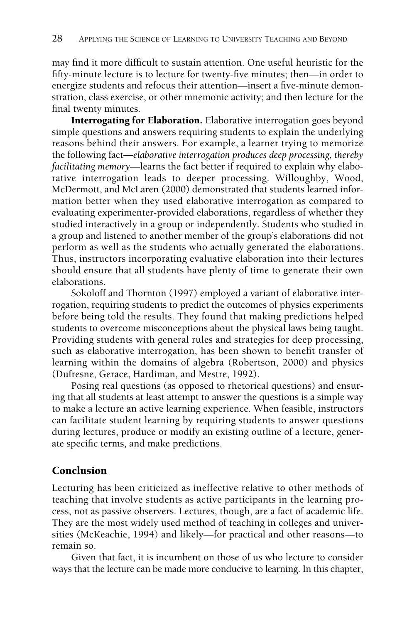may find it more difficult to sustain attention. One useful heuristic for the fifty-minute lecture is to lecture for twenty-five minutes; then—in order to energize students and refocus their attention—insert a five-minute demonstration, class exercise, or other mnemonic activity; and then lecture for the final twenty minutes.

Interrogating for Elaboration. Elaborative interrogation goes beyond simple questions and answers requiring students to explain the underlying reasons behind their answers. For example, a learner trying to memorize the following fact—*elaborative interrogation produces deep processing, thereby facilitating memory*—learns the fact better if required to explain why elaborative interrogation leads to deeper processing. Willoughby, Wood, McDermott, and McLaren (2000) demonstrated that students learned information better when they used elaborative interrogation as compared to evaluating experimenter-provided elaborations, regardless of whether they studied interactively in a group or independently. Students who studied in a group and listened to another member of the group's elaborations did not perform as well as the students who actually generated the elaborations. Thus, instructors incorporating evaluative elaboration into their lectures should ensure that all students have plenty of time to generate their own elaborations.

Sokoloff and Thornton (1997) employed a variant of elaborative interrogation, requiring students to predict the outcomes of physics experiments before being told the results. They found that making predictions helped students to overcome misconceptions about the physical laws being taught. Providing students with general rules and strategies for deep processing, such as elaborative interrogation, has been shown to benefit transfer of learning within the domains of algebra (Robertson, 2000) and physics (Dufresne, Gerace, Hardiman, and Mestre, 1992).

Posing real questions (as opposed to rhetorical questions) and ensuring that all students at least attempt to answer the questions is a simple way to make a lecture an active learning experience. When feasible, instructors can facilitate student learning by requiring students to answer questions during lectures, produce or modify an existing outline of a lecture, generate specific terms, and make predictions.

## Conclusion

Lecturing has been criticized as ineffective relative to other methods of teaching that involve students as active participants in the learning process, not as passive observers. Lectures, though, are a fact of academic life. They are the most widely used method of teaching in colleges and universities (McKeachie, 1994) and likely—for practical and other reasons—to remain so.

Given that fact, it is incumbent on those of us who lecture to consider ways that the lecture can be made more conducive to learning. In this chapter,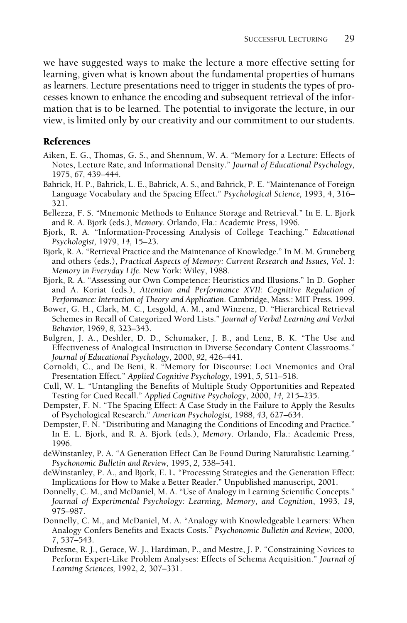we have suggested ways to make the lecture a more effective setting for learning, given what is known about the fundamental properties of humans as learners. Lecture presentations need to trigger in students the types of processes known to enhance the encoding and subsequent retrieval of the information that is to be learned. The potential to invigorate the lecture, in our view, is limited only by our creativity and our commitment to our students.

#### References

- Aiken, E. G., Thomas, G. S., and Shennum, W. A. "Memory for a Lecture: Effects of Notes, Lecture Rate, and Informational Density." *Journal of Educational Psychology,* 1975, *67,* 439–444.
- Bahrick, H. P., Bahrick, L. E., Bahrick, A. S., and Bahrick, P. E. "Maintenance of Foreign Language Vocabulary and the Spacing Effect." *Psychological Science,* 1993, 4, 316– 321.
- Bellezza, F. S. "Mnemonic Methods to Enhance Storage and Retrieval." In E. L. Bjork and R. A. Bjork (eds.), *Memory.* Orlando, Fla.: Academic Press, 1996*.*
- Bjork, R. A. "Information-Processing Analysis of College Teaching." *Educational Psychologist,* 1979, *14,* 15–23.
- Bjork, R. A. "Retrieval Practice and the Maintenance of Knowledge." In M. M. Gruneberg and others (eds.), *Practical Aspects of Memory: Current Research and Issues, Vol. 1: Memory in Everyday Life.* New York: Wiley, 1988.
- Bjork, R. A. "Assessing our Own Competence: Heuristics and Illusions." In D. Gopher and A. Koriat (eds.), *Attention and Performance XVII: Cognitive Regulation of Performance: Interaction of Theory and Application*. Cambridge, Mass.: MIT Press. 1999.
- Bower, G. H., Clark, M. C., Lesgold, A. M., and Winzenz, D. "Hierarchical Retrieval Schemes in Recall of Categorized Word Lists." *Journal of Verbal Learning and Verbal Behavior*, 1969, *8,* 323–343.
- Bulgren, J. A., Deshler, D. D., Schumaker, J. B., and Lenz, B. K. "The Use and Effectiveness of Analogical Instruction in Diverse Secondary Content Classrooms." *Journal of Educational Psychology,* 2000, *92,* 426–441.
- Cornoldi, C., and De Beni, R. "Memory for Discourse: Loci Mnemonics and Oral Presentation Effect." *Applied Cognitive Psychology,* 1991, *5,* 511–518.
- Cull, W. L. "Untangling the Benefits of Multiple Study Opportunities and Repeated Testing for Cued Recall." *Applied Cognitive Psychology*, 2000, *14,* 215–235.
- Dempster, F. N. "The Spacing Effect: A Case Study in the Failure to Apply the Results of Psychological Research." *American Psychologist,* 1988, *43,* 627–634.
- Dempster, F. N. "Distributing and Managing the Conditions of Encoding and Practice." In E. L. Bjork, and R. A. Bjork (eds.), *Memory.* Orlando, Fla.: Academic Press, 1996.
- deWinstanley, P. A. "A Generation Effect Can Be Found During Naturalistic Learning." *Psychonomic Bulletin and Review,* 1995, *2,* 538–541.
- deWinstanley, P. A., and Bjork, E. L. "Processing Strategies and the Generation Effect: Implications for How to Make a Better Reader." Unpublished manuscript, 2001.
- Donnelly, C. M., and McDaniel, M. A. "Use of Analogy in Learning Scientific Concepts." *Journal of Experimental Psychology: Learning, Memory, and Cognition*, 1993, *19,* 975–987.
- Donnelly, C. M., and McDaniel, M. A. "Analogy with Knowledgeable Learners: When Analogy Confers Benefits and Exacts Costs." *Psychonomic Bulletin and Review,* 2000, *7*, 537–543.
- Dufresne, R. J., Gerace, W. J., Hardiman, P., and Mestre, J. P. "Constraining Novices to Perform Expert-Like Problem Analyses: Effects of Schema Acquisition." *Journal of Learning Sciences,* 1992, *2,* 307–331.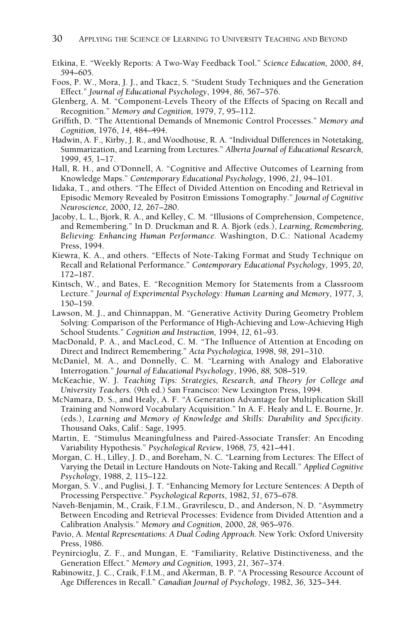- Etkina, E. "Weekly Reports: A Two-Way Feedback Tool." *Science Education,* 2000, *84, 5*94–605.
- Foos, P. W., Mora, J. J., and Tkacz, S. "Student Study Techniques and the Generation Effect." *Journal of Educational Psychology*, 1994, *86,* 567–576.
- Glenberg, A. M. "Component-Levels Theory of the Effects of Spacing on Recall and Recognition." *Memory and Cognition,* 1979, *7,* 95–112.
- Griffith, D. "The Attentional Demands of Mnemonic Control Processes." *Memory and Cognition,* 1976, *14,* 484–494.
- Hadwin, A. F., Kirby, J. R., and Woodhouse, R. A. "Individual Differences in Notetaking, Summarization, and Learning from Lectures." *Alberta Journal of Educational Research,* 1999, *45,* 1–17.
- Hall, R. H., and O'Donnell, A. "Cognitive and Affective Outcomes of Learning from Knowledge Maps." *Contemporary Educational Psychology,* 1996, *21,* 94–101.
- Iidaka, T., and others. "The Effect of Divided Attention on Encoding and Retrieval in Episodic Memory Revealed by Positron Emissions Tomography." *Journal of Cognitive Neuroscience,* 2000, *12,* 267–280.
- Jacoby, L. L., Bjork, R. A., and Kelley, C. M. "Illusions of Comprehension, Competence, and Remembering." In D. Druckman and R. A. Bjork (eds.), *Learning, Remembering, Believing: Enhancing Human Performance.* Washington, D.C.: National Academy Press, 1994.
- Kiewra, K. A., and others. "Effects of Note-Taking Format and Study Technique on Recall and Relational Performance." *Contemporary Educational Psychology,* 1995, *20,* 172–187.
- Kintsch, W., and Bates, E. "Recognition Memory for Statements from a Classroom Lecture." *Journal of Experimental Psychology: Human Learning and Memory,* 1977*, 3,* 150–159.
- Lawson, M. J., and Chinnappan, M. "Generative Activity During Geometry Problem Solving: Comparison of the Performance of High-Achieving and Low-Achieving High School Students." *Cognition and Instruction,* 1994, *12,* 61–93.
- MacDonald, P. A., and MacLeod, C. M. "The Influence of Attention at Encoding on Direct and Indirect Remembering." *Acta Psychologica,* 1998, *98,* 291–310.
- McDaniel, M. A., and Donnelly, C. M. "Learning with Analogy and Elaborative Interrogation." *Journal of Educational Psychology*, 1996, *88,* 508–519.
- McKeachie, W. J. *Teaching Tips: Strategies, Research, and Theory for College and University Teachers.* (9th ed.) San Francisco: New Lexington Press, 1994.
- McNamara, D. S., and Healy, A. F. "A Generation Advantage for Multiplication Skill Training and Nonword Vocabulary Acquisition." In A. F. Healy and L. E. Bourne, Jr. (eds.), *Learning and Memory of Knowledge and Skills: Durability and Specificity.* Thousand Oaks, Calif.: Sage, 1995.
- Martin, E. "Stimulus Meaningfulness and Paired-Associate Transfer: An Encoding Variability Hypothesis." *Psychological Review,* 1968*, 75,* 421–441.
- Morgan, C. H., Lilley, J. D., and Boreham, N. C. "Learning from Lectures: The Effect of Varying the Detail in Lecture Handouts on Note-Taking and Recall." *Applied Cognitive Psychology,* 1988, *2,* 115–122.
- Morgan, S. V., and Puglisi, J. T. "Enhancing Memory for Lecture Sentences: A Depth of Processing Perspective." *Psychological Reports*, 1982, *51,* 675–678.
- Naveh-Benjamin, M., Craik, F.I.M., Gravrilescu, D., and Anderson, N. D. "Asymmetry Between Encoding and Retrieval Processes: Evidence from Divided Attention and a Calibration Analysis." *Memory and Cognition,* 2000, *28,* 965–976.
- Pavio, A. *Mental Representations: A Dual Coding Approach.* New York: Oxford University Press, 1986.
- Peynircioglu, Z. F., and Mungan, E. "Familiarity, Relative Distinctiveness, and the Generation Effect." *Memory and Cognition,* 1993, *21,* 367–374.
- Rabinowitz, J. C., Craik, F.I.M., and Akerman, B. P. "A Processing Resource Account of Age Differences in Recall." *Canadian Journal of Psychology,* 1982, *36,* 325–344.